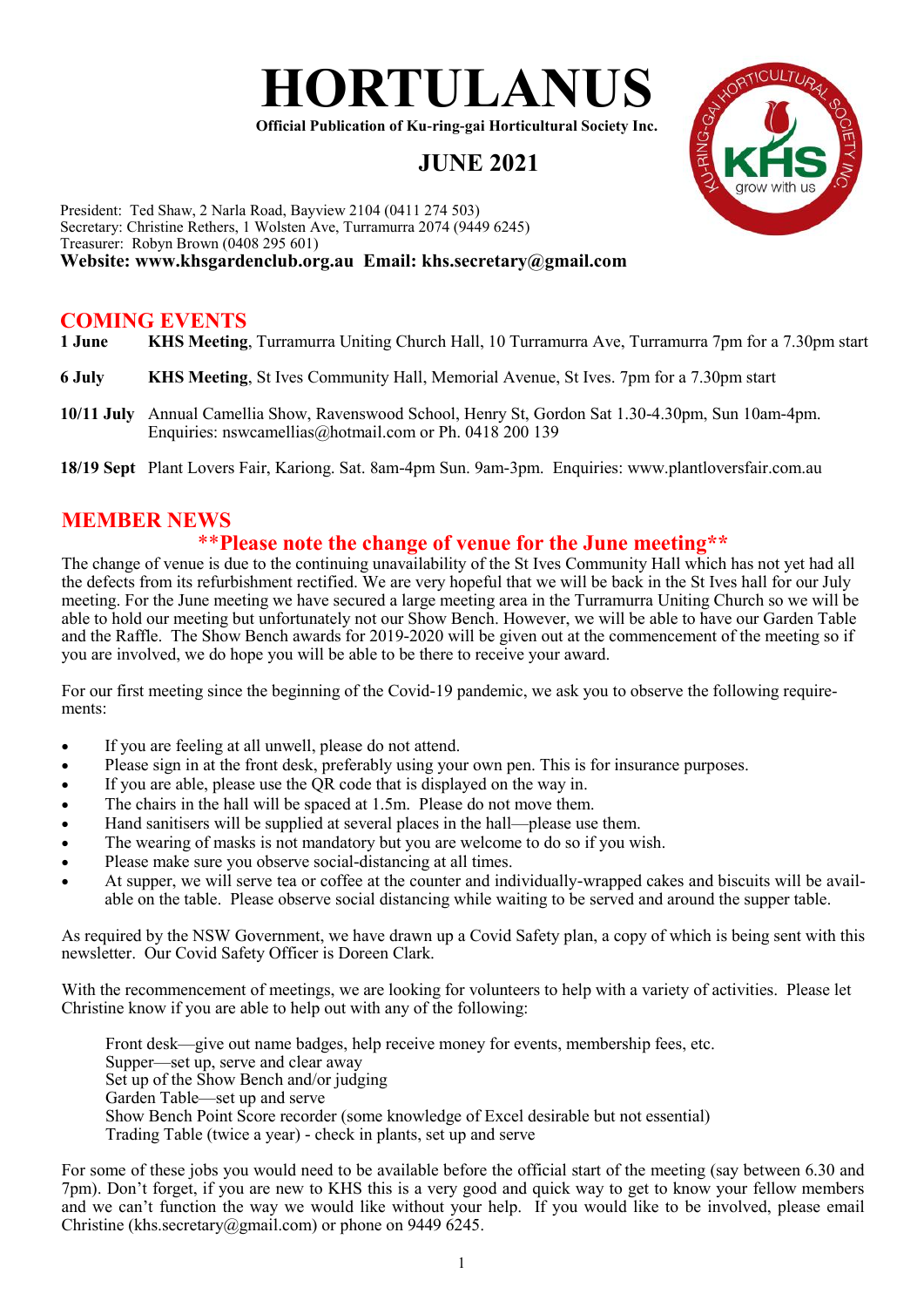

**Official Publication of Ku-ring-gai Horticultural Society Inc.**

# **JUNE 2021**



# **COMING EVENTS**

- **1 June KHS Meeting**, Turramurra Uniting Church Hall, 10 Turramurra Ave, Turramurra 7pm for a 7.30pm start
- **6 July KHS Meeting**, St Ives Community Hall, Memorial Avenue, St Ives. 7pm for a 7.30pm start
- **10/11 July** Annual Camellia Show, Ravenswood School, Henry St, Gordon Sat 1.30-4.30pm, Sun 10am-4pm. Enquiries: nswcamellias@hotmail.com or Ph. 0418 200 139
- **18/19 Sept** Plant Lovers Fair, Kariong. Sat. 8am-4pm Sun. 9am-3pm. Enquiries: www.plantloversfair.com.au

# **MEMBER NEWS**

# \*\***Please note the change of venue for the June meeting\*\***

The change of venue is due to the continuing unavailability of the St Ives Community Hall which has not yet had all the defects from its refurbishment rectified. We are very hopeful that we will be back in the St Ives hall for our July meeting. For the June meeting we have secured a large meeting area in the Turramurra Uniting Church so we will be able to hold our meeting but unfortunately not our Show Bench. However, we will be able to have our Garden Table and the Raffle. The Show Bench awards for 2019-2020 will be given out at the commencement of the meeting so if you are involved, we do hope you will be able to be there to receive your award.

For our first meeting since the beginning of the Covid-19 pandemic, we ask you to observe the following requirements:

- If you are feeling at all unwell, please do not attend.
- Please sign in at the front desk, preferably using your own pen. This is for insurance purposes.
- If you are able, please use the OR code that is displayed on the way in.
- The chairs in the hall will be spaced at 1.5m. Please do not move them.
- Hand sanitisers will be supplied at several places in the hall—please use them.
- The wearing of masks is not mandatory but you are welcome to do so if you wish.
- Please make sure you observe social-distancing at all times.
- At supper, we will serve tea or coffee at the counter and individually-wrapped cakes and biscuits will be available on the table. Please observe social distancing while waiting to be served and around the supper table.

As required by the NSW Government, we have drawn up a Covid Safety plan, a copy of which is being sent with this newsletter. Our Covid Safety Officer is Doreen Clark.

With the recommencement of meetings, we are looking for volunteers to help with a variety of activities. Please let Christine know if you are able to help out with any of the following:

Front desk—give out name badges, help receive money for events, membership fees, etc. Supper—set up, serve and clear away Set up of the Show Bench and/or judging Garden Table—set up and serve Show Bench Point Score recorder (some knowledge of Excel desirable but not essential) Trading Table (twice a year) - check in plants, set up and serve

For some of these jobs you would need to be available before the official start of the meeting (say between 6.30 and 7pm). Don't forget, if you are new to KHS this is a very good and quick way to get to know your fellow members and we can't function the way we would like without your help. If you would like to be involved, please email Christine (khs.secretary@gmail.com) or phone on 9449 6245.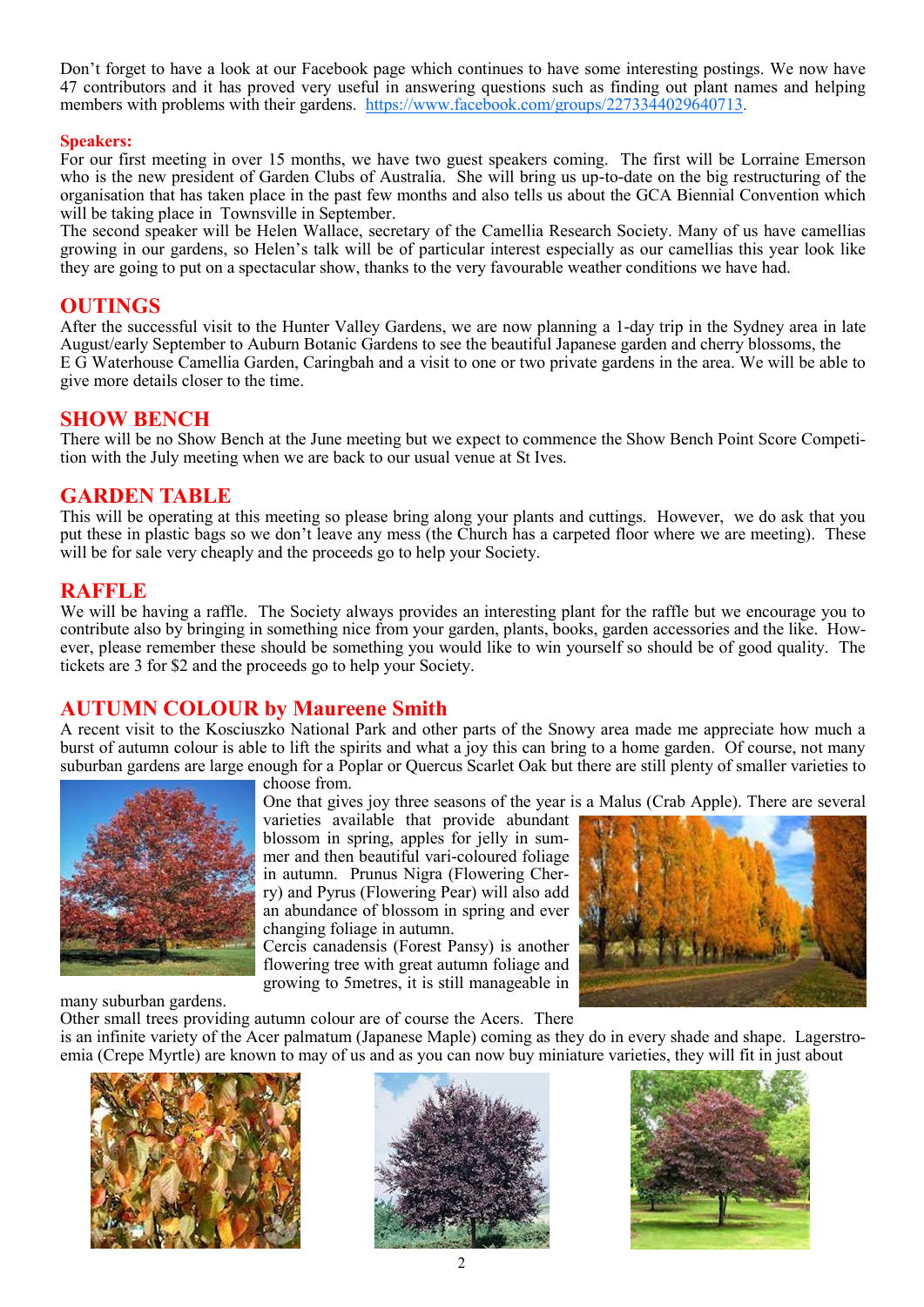Don't forget to have a look at our Facebook page which continues to have some interesting postings. We now have 47 contributors and it has proved very useful in answering questions such as finding out plant names and helping members with problems with their gardens. <https://www.facebook.com/groups/2273344029640713>.

#### **Speakers:**

For our first meeting in over 15 months, we have two guest speakers coming. The first will be Lorraine Emerson who is the new president of Garden Clubs of Australia. She will bring us up-to-date on the big restructuring of the organisation that has taken place in the past few months and also tells us about the GCA Biennial Convention which will be taking place in Townsville in September.

The second speaker will be Helen Wallace, secretary of the Camellia Research Society. Many of us have camellias growing in our gardens, so Helen's talk will be of particular interest especially as our camellias this year look like they are going to put on a spectacular show, thanks to the very favourable weather conditions we have had.

#### **OUTINGS**

After the successful visit to the Hunter Valley Gardens, we are now planning a 1-day trip in the Sydney area in late August/early September to Auburn Botanic Gardens to see the beautiful Japanese garden and cherry blossoms, the E G Waterhouse Camellia Garden, Caringbah and a visit to one or two private gardens in the area. We will be able to give more details closer to the time.

### **SHOW BENCH**

There will be no Show Bench at the June meeting but we expect to commence the Show Bench Point Score Competition with the July meeting when we are back to our usual venue at St Ives.

## **GARDEN TABLE**

This will be operating at this meeting so please bring along your plants and cuttings. However, we do ask that you put these in plastic bags so we don't leave any mess (the Church has a carpeted floor where we are meeting). These will be for sale very cheaply and the proceeds go to help your Society.

#### **RAFFLE**

We will be having a raffle. The Society always provides an interesting plant for the raffle but we encourage you to contribute also by bringing in something nice from your garden, plants, books, garden accessories and the like. However, please remember these should be something you would like to win yourself so should be of good quality. The tickets are 3 for \$2 and the proceeds go to help your Society.

## **AUTUMN COLOUR by Maureene Smith**

A recent visit to the Kosciuszko National Park and other parts of the Snowy area made me appreciate how much a burst of autumn colour is able to lift the spirits and what a joy this can bring to a home garden. Of course, not many suburban gardens are large enough for a Poplar or Quercus Scarlet Oak but there are still plenty of smaller varieties to



choose from.

One that gives joy three seasons of the year is a Malus (Crab Apple). There are several

varieties available that provide abundant blossom in spring, apples for jelly in summer and then beautiful vari-coloured foliage in autumn. Prunus Nigra (Flowering Cherry) and Pyrus (Flowering Pear) will also add an abundance of blossom in spring and ever changing foliage in autumn.

Cercis canadensis (Forest Pansy) is another flowering tree with great autumn foliage and growing to 5metres, it is still manageable in



many suburban gardens.

Other small trees providing autumn colour are of course the Acers. There

is an infinite variety of the Acer palmatum (Japanese Maple) coming as they do in every shade and shape. Lagerstroemia (Crepe Myrtle) are known to may of us and as you can now buy miniature varieties, they will fit in just about





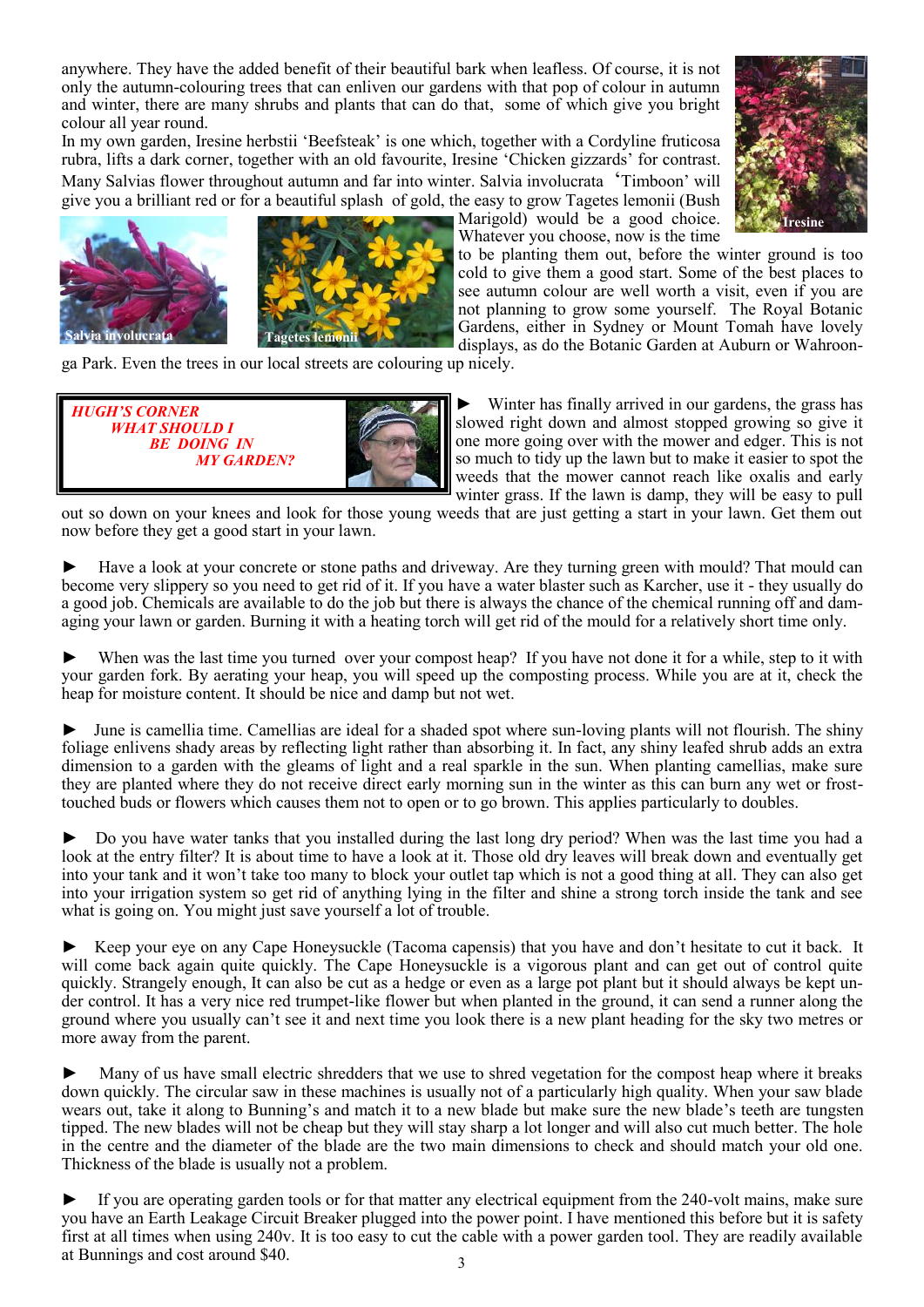anywhere. They have the added benefit of their beautiful bark when leafless. Of course, it is not only the autumn-colouring trees that can enliven our gardens with that pop of colour in autumn and winter, there are many shrubs and plants that can do that, some of which give you bright colour all year round.

In my own garden, Iresine herbstii 'Beefsteak' is one which, together with a Cordyline fruticosa rubra, lifts a dark corner, together with an old favourite, Iresine 'Chicken gizzards' for contrast. Many Salvias flower throughout autumn and far into winter. Salvia involucrata 'Timboon' will give you a brilliant red or for a beautiful splash of gold, the easy to grow Tagetes lemonii (Bush





Marigold) would be a good choice. Whatever you choose, now is the time



to be planting them out, before the winter ground is too cold to give them a good start. Some of the best places to see autumn colour are well worth a visit, even if you are not planning to grow some yourself. The Royal Botanic Gardens, either in Sydney or Mount Tomah have lovely displays, as do the Botanic Garden at Auburn or Wahroon-

ga Park. Even the trees in our local streets are colouring up nicely.



► Winter has finally arrived in our gardens, the grass has slowed right down and almost stopped growing so give it one more going over with the mower and edger. This is not so much to tidy up the lawn but to make it easier to spot the weeds that the mower cannot reach like oxalis and early winter grass. If the lawn is damp, they will be easy to pull

out so down on your knees and look for those young weeds that are just getting a start in your lawn. Get them out now before they get a good start in your lawn.

► Have a look at your concrete or stone paths and driveway. Are they turning green with mould? That mould can become very slippery so you need to get rid of it. If you have a water blaster such as Karcher, use it - they usually do a good job. Chemicals are available to do the job but there is always the chance of the chemical running off and damaging your lawn or garden. Burning it with a heating torch will get rid of the mould for a relatively short time only.

When was the last time you turned over your compost heap? If you have not done it for a while, step to it with your garden fork. By aerating your heap, you will speed up the composting process. While you are at it, check the heap for moisture content. It should be nice and damp but not wet.

June is camellia time. Camellias are ideal for a shaded spot where sun-loving plants will not flourish. The shiny foliage enlivens shady areas by reflecting light rather than absorbing it. In fact, any shiny leafed shrub adds an extra dimension to a garden with the gleams of light and a real sparkle in the sun. When planting camellias, make sure they are planted where they do not receive direct early morning sun in the winter as this can burn any wet or frosttouched buds or flowers which causes them not to open or to go brown. This applies particularly to doubles.

► Do you have water tanks that you installed during the last long dry period? When was the last time you had a look at the entry filter? It is about time to have a look at it. Those old dry leaves will break down and eventually get into your tank and it won't take too many to block your outlet tap which is not a good thing at all. They can also get into your irrigation system so get rid of anything lying in the filter and shine a strong torch inside the tank and see what is going on. You might just save yourself a lot of trouble.

Keep your eye on any Cape Honeysuckle (Tacoma capensis) that you have and don't hesitate to cut it back. It will come back again quite quickly. The Cape Honeysuckle is a vigorous plant and can get out of control quite quickly. Strangely enough, It can also be cut as a hedge or even as a large pot plant but it should always be kept under control. It has a very nice red trumpet-like flower but when planted in the ground, it can send a runner along the ground where you usually can't see it and next time you look there is a new plant heading for the sky two metres or more away from the parent.

► Many of us have small electric shredders that we use to shred vegetation for the compost heap where it breaks down quickly. The circular saw in these machines is usually not of a particularly high quality. When your saw blade wears out, take it along to Bunning's and match it to a new blade but make sure the new blade's teeth are tungsten tipped. The new blades will not be cheap but they will stay sharp a lot longer and will also cut much better. The hole in the centre and the diameter of the blade are the two main dimensions to check and should match your old one. Thickness of the blade is usually not a problem.

► If you are operating garden tools or for that matter any electrical equipment from the 240-volt mains, make sure you have an Earth Leakage Circuit Breaker plugged into the power point. I have mentioned this before but it is safety first at all times when using 240v. It is too easy to cut the cable with a power garden tool. They are readily available at Bunnings and cost around \$40.